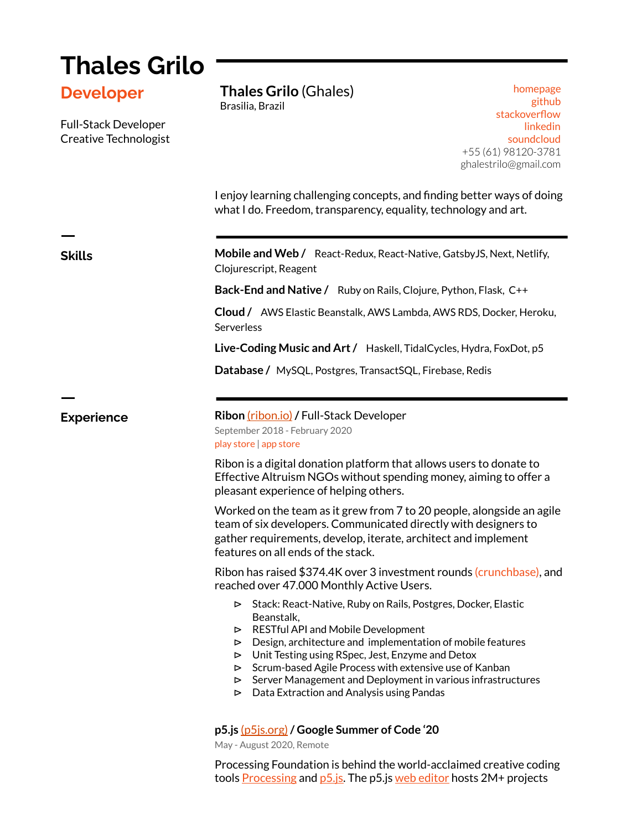## **Thales Grilo Developer** Full-Stack Developer Creative Technologist I enjoy learning challenging concepts, and finding better ways of doing what I do. Freedom, transparency, equality, technology and art. ㅡ **Skills Mobile and Web /** React-Redux, React-Native, GatsbyJS, Next, Netlify, Clojurescript, Reagent **Back-End and Native /** Ruby on Rails, Clojure, Python, Flask, C++ **Cloud /** AWS Elastic Beanstalk, AWS Lambda, AWS RDS, Docker, Heroku, Serverless **Live-Coding Music and Art/** Haskell, TidalCycles, Hydra, FoxDot, p5 **Database /** MySQL, Postgres, TransactSQL, Firebase, Redis ㅡ **Experience Ribon** [\(ribon.io\)](https://ribon.io/) / Full-Stack Developer September 2018 - February 2020 play [store](https://play.google.com/store/apps/details?id=com.app.ribon) | app [store](https://apps.apple.com/us/app/ribon/id1337763424) Ribon is a digital donation platform that allows users to donate to Effective Altruism NGOs without spending money, aiming to offer a pleasant experience of helping others. Worked on the team as it grew from 7 to 20 people, alongside an agile team of six developers. Communicated directly with designers to gather requirements, develop, iterate, architect and implement features on all ends of the stack. Ribon has raised \$374.4K over 3 investment rounds [\(crunchbase\)](https://www.crunchbase.com/organization/ribon), and reached over 47.000 Monthly Active Users. ⊳ Stack: React-Native, Ruby on Rails, Postgres, Docker, Elastic Beanstalk, ⊳ RESTful API and Mobile Development ⊳ Design, architecture and implementation of mobile features ⊳ Unit Testing using RSpec, Jest, Enzyme and Detox ⊳ Scrum-based Agile Process with extensive use of Kanban ⊳ Server Management and Deployment in various infrastructures ⊳ Data Extraction and Analysis using Pandas **p5.js** [\(p5js.org\)](https://p5js.org/)**/ Google Summer of Code '20** May - August 2020, Remote **Thales Grilo** (Ghales) Brasilia, Brazil [homepage](https://ghales.top/) [github](https://github.com/ghalestrilo) s[tackoverflow](https://stackoverflow.com/users/11996213/ghalestrilo) [linkedin](https://www.linkedin.com/in/ghalestrilo/) [soundcloud](https://soundcloud.com/ghalestrilo) +55 (61) 98120-3781 ghalestrilo@gmail.com

Processing Foundation is behind the world-acclaimed creative coding tools [Processing](https://processing.org/) and [p5.js.](https://p5js.org/) The p5.js web [editor](https://editor.p5js.org/) hosts 2M+ projects